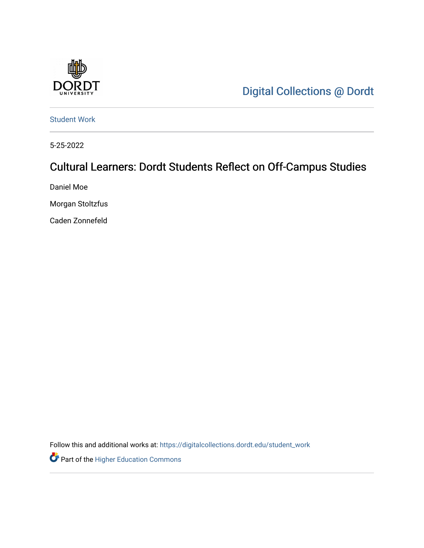

[Digital Collections @ Dordt](https://digitalcollections.dordt.edu/) 

[Student Work](https://digitalcollections.dordt.edu/student_work) 

5-25-2022

# Cultural Learners: Dordt Students Reflect on Off-Campus Studies

Daniel Moe

Morgan Stoltzfus

Caden Zonnefeld

Follow this and additional works at: [https://digitalcollections.dordt.edu/student\\_work](https://digitalcollections.dordt.edu/student_work?utm_source=digitalcollections.dordt.edu%2Fstudent_work%2F77&utm_medium=PDF&utm_campaign=PDFCoverPages)

Part of the [Higher Education Commons](https://network.bepress.com/hgg/discipline/1245?utm_source=digitalcollections.dordt.edu%2Fstudent_work%2F77&utm_medium=PDF&utm_campaign=PDFCoverPages)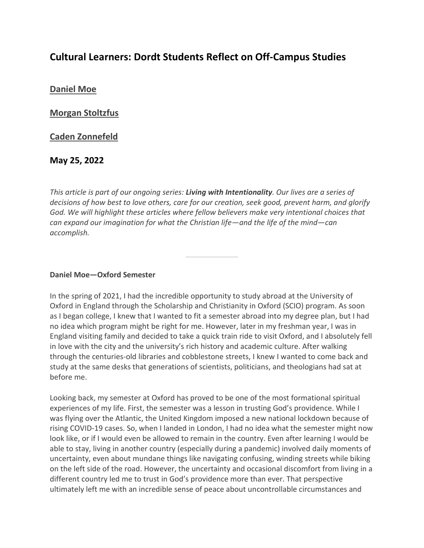# **Cultural Learners: Dordt Students Reflect on Off-Campus Studies**

**[Daniel Moe](https://inallthings.org/author/daniel-moe/)**

**[Morgan Stoltzfus](https://inallthings.org/author/morgan-stoltzfus/)**

**[Caden Zonnefeld](https://inallthings.org/author/caden-zonnefeld/)**

**May 25, 2022**

*This article is part of our ongoing series: Living with Intentionality. Our lives are a series of decisions of how best to love others, care for our creation, seek good, prevent harm, and glorify God. We will highlight these articles where fellow believers make very intentional choices that can expand our imagination for what the Christian life—and the life of the mind—can accomplish.*

#### **Daniel Moe—Oxford Semester**

In the spring of 2021, I had the incredible opportunity to study abroad at the University of Oxford in England through the Scholarship and Christianity in Oxford (SCIO) program. As soon as I began college, I knew that I wanted to fit a semester abroad into my degree plan, but I had no idea which program might be right for me. However, later in my freshman year, I was in England visiting family and decided to take a quick train ride to visit Oxford, and I absolutely fell in love with the city and the university's rich history and academic culture. After walking through the centuries-old libraries and cobblestone streets, I knew I wanted to come back and study at the same desks that generations of scientists, politicians, and theologians had sat at before me.

Looking back, my semester at Oxford has proved to be one of the most formational spiritual experiences of my life. First, the semester was a lesson in trusting God's providence. While I was flying over the Atlantic, the United Kingdom imposed a new national lockdown because of rising COVID-19 cases. So, when I landed in London, I had no idea what the semester might now look like, or if I would even be allowed to remain in the country. Even after learning I would be able to stay, living in another country (especially during a pandemic) involved daily moments of uncertainty, even about mundane things like navigating confusing, winding streets while biking on the left side of the road. However, the uncertainty and occasional discomfort from living in a different country led me to trust in God's providence more than ever. That perspective ultimately left me with an incredible sense of peace about uncontrollable circumstances and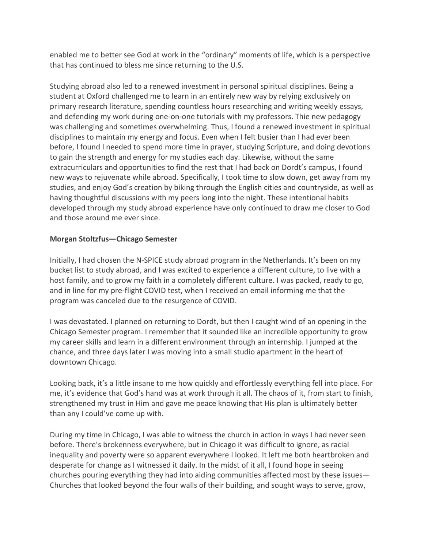enabled me to better see God at work in the "ordinary" moments of life, which is a perspective that has continued to bless me since returning to the U.S.

Studying abroad also led to a renewed investment in personal spiritual disciplines. Being a student at Oxford challenged me to learn in an entirely new way by relying exclusively on primary research literature, spending countless hours researching and writing weekly essays, and defending my work during one-on-one tutorials with my professors. Thie new pedagogy was challenging and sometimes overwhelming. Thus, I found a renewed investment in spiritual disciplines to maintain my energy and focus. Even when I felt busier than I had ever been before, I found I needed to spend more time in prayer, studying Scripture, and doing devotions to gain the strength and energy for my studies each day. Likewise, without the same extracurriculars and opportunities to find the rest that I had back on Dordt's campus, I found new ways to rejuvenate while abroad. Specifically, I took time to slow down, get away from my studies, and enjoy God's creation by biking through the English cities and countryside, as well as having thoughtful discussions with my peers long into the night. These intentional habits developed through my study abroad experience have only continued to draw me closer to God and those around me ever since.

## **Morgan Stoltzfus—Chicago Semester**

Initially, I had chosen the N-SPICE study abroad program in the Netherlands. It's been on my bucket list to study abroad, and I was excited to experience a different culture, to live with a host family, and to grow my faith in a completely different culture. I was packed, ready to go, and in line for my pre-flight COVID test, when I received an email informing me that the program was canceled due to the resurgence of COVID.

I was devastated. I planned on returning to Dordt, but then I caught wind of an opening in the Chicago Semester program. I remember that it sounded like an incredible opportunity to grow my career skills and learn in a different environment through an internship. I jumped at the chance, and three days later I was moving into a small studio apartment in the heart of downtown Chicago.

Looking back, it's a little insane to me how quickly and effortlessly everything fell into place. For me, it's evidence that God's hand was at work through it all. The chaos of it, from start to finish, strengthened my trust in Him and gave me peace knowing that His plan is ultimately better than any I could've come up with.

During my time in Chicago, I was able to witness the church in action in ways I had never seen before. There's brokenness everywhere, but in Chicago it was difficult to ignore, as racial inequality and poverty were so apparent everywhere I looked. It left me both heartbroken and desperate for change as I witnessed it daily. In the midst of it all, I found hope in seeing churches pouring everything they had into aiding communities affected most by these issues— Churches that looked beyond the four walls of their building, and sought ways to serve, grow,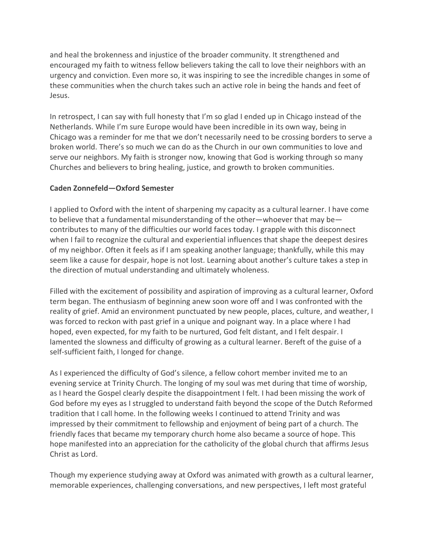and heal the brokenness and injustice of the broader community. It strengthened and encouraged my faith to witness fellow believers taking the call to love their neighbors with an urgency and conviction. Even more so, it was inspiring to see the incredible changes in some of these communities when the church takes such an active role in being the hands and feet of Jesus.

In retrospect, I can say with full honesty that I'm so glad I ended up in Chicago instead of the Netherlands. While I'm sure Europe would have been incredible in its own way, being in Chicago was a reminder for me that we don't necessarily need to be crossing borders to serve a broken world. There's so much we can do as the Church in our own communities to love and serve our neighbors. My faith is stronger now, knowing that God is working through so many Churches and believers to bring healing, justice, and growth to broken communities.

## **Caden Zonnefeld—Oxford Semester**

I applied to Oxford with the intent of sharpening my capacity as a cultural learner. I have come to believe that a fundamental misunderstanding of the other—whoever that may be contributes to many of the difficulties our world faces today. I grapple with this disconnect when I fail to recognize the cultural and experiential influences that shape the deepest desires of my neighbor. Often it feels as if I am speaking another language; thankfully, while this may seem like a cause for despair, hope is not lost. Learning about another's culture takes a step in the direction of mutual understanding and ultimately wholeness.

Filled with the excitement of possibility and aspiration of improving as a cultural learner, Oxford term began. The enthusiasm of beginning anew soon wore off and I was confronted with the reality of grief. Amid an environment punctuated by new people, places, culture, and weather, I was forced to reckon with past grief in a unique and poignant way. In a place where I had hoped, even expected, for my faith to be nurtured, God felt distant, and I felt despair. I lamented the slowness and difficulty of growing as a cultural learner. Bereft of the guise of a self-sufficient faith, I longed for change.

As I experienced the difficulty of God's silence, a fellow cohort member invited me to an evening service at Trinity Church. The longing of my soul was met during that time of worship, as I heard the Gospel clearly despite the disappointment I felt. I had been missing the work of God before my eyes as I struggled to understand faith beyond the scope of the Dutch Reformed tradition that I call home. In the following weeks I continued to attend Trinity and was impressed by their commitment to fellowship and enjoyment of being part of a church. The friendly faces that became my temporary church home also became a source of hope. This hope manifested into an appreciation for the catholicity of the global church that affirms Jesus Christ as Lord.

Though my experience studying away at Oxford was animated with growth as a cultural learner, memorable experiences, challenging conversations, and new perspectives, I left most grateful